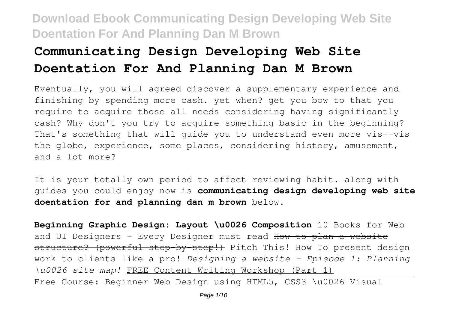# **Communicating Design Developing Web Site Doentation For And Planning Dan M Brown**

Eventually, you will agreed discover a supplementary experience and finishing by spending more cash. yet when? get you bow to that you require to acquire those all needs considering having significantly cash? Why don't you try to acquire something basic in the beginning? That's something that will guide you to understand even more vis--vis the globe, experience, some places, considering history, amusement, and a lot more?

It is your totally own period to affect reviewing habit. along with guides you could enjoy now is **communicating design developing web site doentation for and planning dan m brown** below.

**Beginning Graphic Design: Layout \u0026 Composition** 10 Books for Web and UI Designers - Every Designer must read How to plan a website structure? (powerful step by step!) Pitch This! How To present design work to clients like a pro! *Designing a website - Episode 1: Planning \u0026 site map!* FREE Content Writing Workshop (Part 1) Free Course: Beginner Web Design using HTML5, CSS3 \u0026 Visual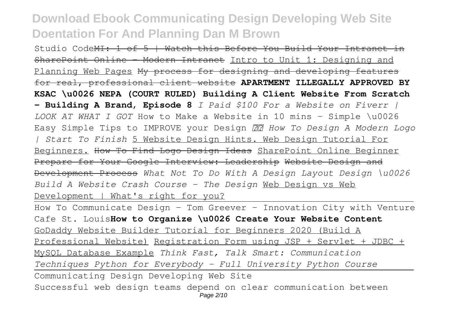Studio CodeMI: 1 of 5 | Watch this Before You Build Your Intranet in SharePoint Online - Modern Intranet Intro to Unit 1: Designing and Planning Web Pages My process for designing and developing features for real, professional client website **APARTMENT ILLEGALLY APPROVED BY KSAC \u0026 NEPA (COURT RULED) Building A Client Website From Scratch – Building A Brand, Episode 8** *I Paid \$100 For a Website on Fiverr | LOOK AT WHAT I GOT* How to Make a Website in 10 mins - Simple \u0026 Easy Simple Tips to IMPROVE your Design *✏️ How To Design A Modern Logo | Start To Finish* 5 Website Design Hints. Web Design Tutorial For Beginners. How To Find Logo Design Ideas SharePoint Online Beginner Prepare for Your Google Interview: Leadership Website Design and Development Process *What Not To Do With A Design Layout Design \u0026 Build A Website Crash Course - The Design* Web Design vs Web Development | What's right for you?

How To Communicate Design - Tom Greever - Innovation City with Venture Cafe St. Louis**How to Organize \u0026 Create Your Website Content** GoDaddy Website Builder Tutorial for Beginners 2020 (Build A Professional Website) Registration Form using JSP + Servlet + JDBC + MySQL Database Example *Think Fast, Talk Smart: Communication Techniques Python for Everybody - Full University Python Course* Communicating Design Developing Web Site Successful web design teams depend on clear communication between Page 2/10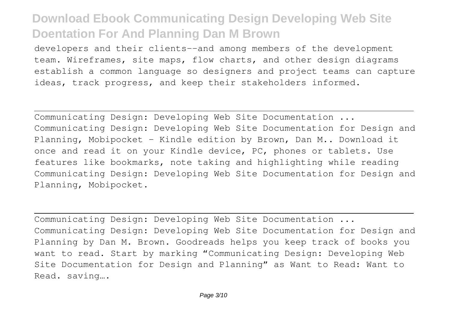developers and their clients--and among members of the development team. Wireframes, site maps, flow charts, and other design diagrams establish a common language so designers and project teams can capture ideas, track progress, and keep their stakeholders informed.

Communicating Design: Developing Web Site Documentation ... Communicating Design: Developing Web Site Documentation for Design and Planning, Mobipocket - Kindle edition by Brown, Dan M.. Download it once and read it on your Kindle device, PC, phones or tablets. Use features like bookmarks, note taking and highlighting while reading Communicating Design: Developing Web Site Documentation for Design and Planning, Mobipocket.

Communicating Design: Developing Web Site Documentation ... Communicating Design: Developing Web Site Documentation for Design and Planning by Dan M. Brown. Goodreads helps you keep track of books you want to read. Start by marking "Communicating Design: Developing Web Site Documentation for Design and Planning" as Want to Read: Want to Read. saving….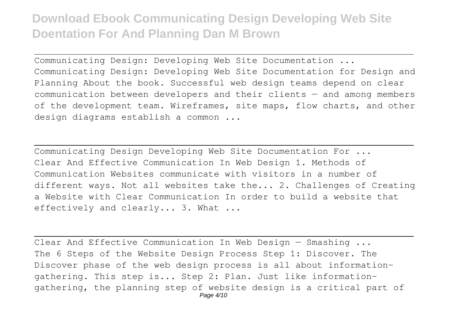Communicating Design: Developing Web Site Documentation ... Communicating Design: Developing Web Site Documentation for Design and Planning About the book. Successful web design teams depend on clear communication between developers and their clients — and among members of the development team. Wireframes, site maps, flow charts, and other design diagrams establish a common ...

Communicating Design Developing Web Site Documentation For ... Clear And Effective Communication In Web Design 1. Methods of Communication Websites communicate with visitors in a number of different ways. Not all websites take the... 2. Challenges of Creating a Website with Clear Communication In order to build a website that effectively and clearly... 3. What ...

Clear And Effective Communication In Web Design — Smashing ... The 6 Steps of the Website Design Process Step 1: Discover. The Discover phase of the web design process is all about informationgathering. This step is... Step 2: Plan. Just like informationgathering, the planning step of website design is a critical part of Page 4/10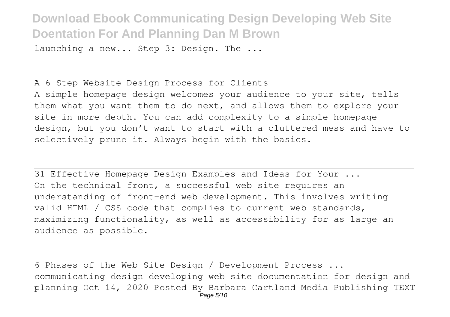launching a new... Step 3: Design. The ...

A 6 Step Website Design Process for Clients A simple homepage design welcomes your audience to your site, tells them what you want them to do next, and allows them to explore your site in more depth. You can add complexity to a simple homepage design, but you don't want to start with a cluttered mess and have to selectively prune it. Always begin with the basics.

31 Effective Homepage Design Examples and Ideas for Your ... On the technical front, a successful web site requires an understanding of front-end web development. This involves writing valid HTML / CSS code that complies to current web standards, maximizing functionality, as well as accessibility for as large an audience as possible.

6 Phases of the Web Site Design / Development Process ... communicating design developing web site documentation for design and planning Oct 14, 2020 Posted By Barbara Cartland Media Publishing TEXT Page 5/10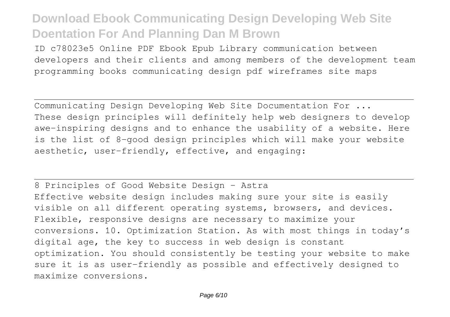ID c78023e5 Online PDF Ebook Epub Library communication between developers and their clients and among members of the development team programming books communicating design pdf wireframes site maps

Communicating Design Developing Web Site Documentation For ... These design principles will definitely help web designers to develop awe-inspiring designs and to enhance the usability of a website. Here is the list of 8-good design principles which will make your website aesthetic, user-friendly, effective, and engaging:

8 Principles of Good Website Design - Astra Effective website design includes making sure your site is easily visible on all different operating systems, browsers, and devices. Flexible, responsive designs are necessary to maximize your conversions. 10. Optimization Station. As with most things in today's digital age, the key to success in web design is constant optimization. You should consistently be testing your website to make sure it is as user-friendly as possible and effectively designed to maximize conversions.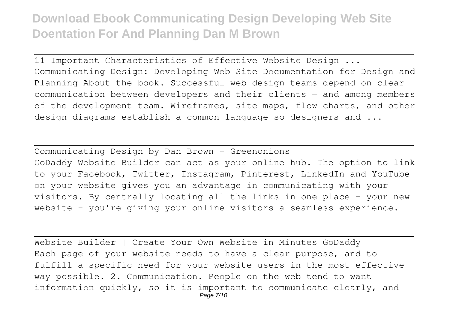11 Important Characteristics of Effective Website Design ... Communicating Design: Developing Web Site Documentation for Design and Planning About the book. Successful web design teams depend on clear communication between developers and their clients — and among members of the development team. Wireframes, site maps, flow charts, and other design diagrams establish a common language so designers and ...

Communicating Design by Dan Brown - Greenonions GoDaddy Website Builder can act as your online hub. The option to link to your Facebook, Twitter, Instagram, Pinterest, LinkedIn and YouTube on your website gives you an advantage in communicating with your visitors. By centrally locating all the links in one place – your new website – you're giving your online visitors a seamless experience.

Website Builder | Create Your Own Website in Minutes GoDaddy Each page of your website needs to have a clear purpose, and to fulfill a specific need for your website users in the most effective way possible. 2. Communication. People on the web tend to want information quickly, so it is important to communicate clearly, and Page 7/10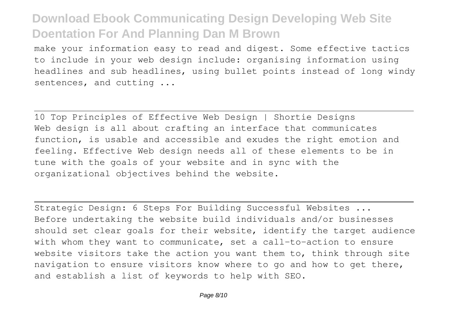make your information easy to read and digest. Some effective tactics to include in your web design include: organising information using headlines and sub headlines, using bullet points instead of long windy sentences, and cutting ...

10 Top Principles of Effective Web Design | Shortie Designs Web design is all about crafting an interface that communicates function, is usable and accessible and exudes the right emotion and feeling. Effective Web design needs all of these elements to be in tune with the goals of your website and in sync with the organizational objectives behind the website.

Strategic Design: 6 Steps For Building Successful Websites ... Before undertaking the website build individuals and/or businesses should set clear goals for their website, identify the target audience with whom they want to communicate, set a call-to-action to ensure website visitors take the action you want them to, think through site navigation to ensure visitors know where to go and how to get there, and establish a list of keywords to help with SEO.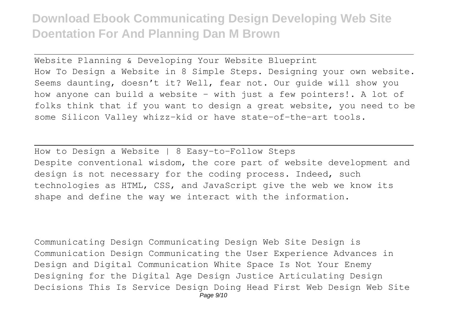Website Planning & Developing Your Website Blueprint How To Design a Website in 8 Simple Steps. Designing your own website. Seems daunting, doesn't it? Well, fear not. Our guide will show you how anyone can build a website – with just a few pointers!. A lot of folks think that if you want to design a great website, you need to be some Silicon Valley whizz-kid or have state-of-the-art tools.

How to Design a Website | 8 Easy-to-Follow Steps Despite conventional wisdom, the core part of website development and design is not necessary for the coding process. Indeed, such technologies as HTML, CSS, and JavaScript give the web we know its shape and define the way we interact with the information.

Communicating Design Communicating Design Web Site Design is Communication Design Communicating the User Experience Advances in Design and Digital Communication White Space Is Not Your Enemy Designing for the Digital Age Design Justice Articulating Design Decisions This Is Service Design Doing Head First Web Design Web Site